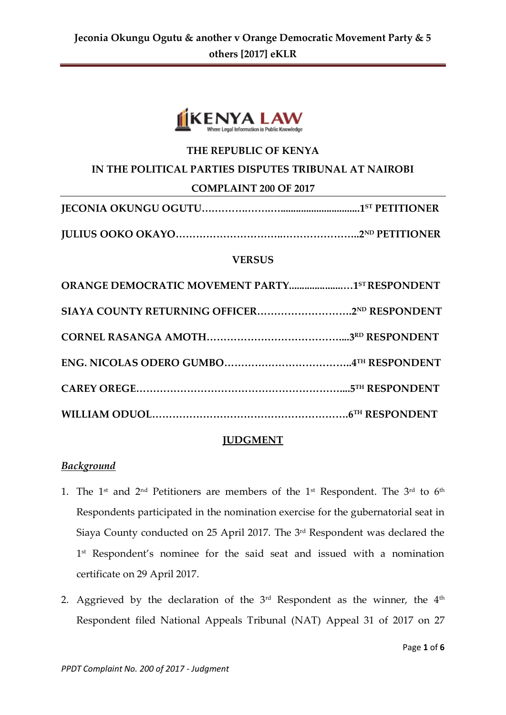

## **THE REPUBLIC OF KENYA**

#### **IN THE POLITICAL PARTIES DISPUTES TRIBUNAL AT NAIROBI**

#### **COMPLAINT 200 OF 2017**

**JULIUS OOKO OKAYO…………………………..…………………..2ND PETITIONER**

#### **VERSUS**

| ORANGE DEMOCRATIC MOVEMENT PARTY1STRESPONDENT |  |
|-----------------------------------------------|--|
|                                               |  |
|                                               |  |
|                                               |  |
|                                               |  |
|                                               |  |

#### **JUDGMENT**

#### *Background*

- 1. The 1<sup>st</sup> and 2<sup>nd</sup> Petitioners are members of the 1<sup>st</sup> Respondent. The 3<sup>rd</sup> to 6<sup>th</sup> Respondents participated in the nomination exercise for the gubernatorial seat in Siaya County conducted on 25 April 2017. The 3rd Respondent was declared the 1 st Respondent's nominee for the said seat and issued with a nomination certificate on 29 April 2017.
- 2. Aggrieved by the declaration of the  $3<sup>rd</sup>$  Respondent as the winner, the  $4<sup>th</sup>$ Respondent filed National Appeals Tribunal (NAT) Appeal 31 of 2017 on 27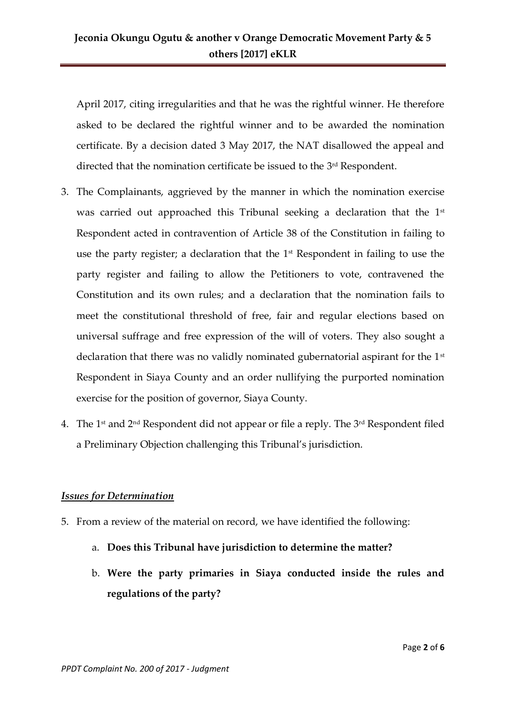April 2017, citing irregularities and that he was the rightful winner. He therefore asked to be declared the rightful winner and to be awarded the nomination certificate. By a decision dated 3 May 2017, the NAT disallowed the appeal and directed that the nomination certificate be issued to the 3<sup>rd</sup> Respondent.

- 3. The Complainants, aggrieved by the manner in which the nomination exercise was carried out approached this Tribunal seeking a declaration that the 1<sup>st</sup> Respondent acted in contravention of Article 38 of the Constitution in failing to use the party register; a declaration that the 1<sup>st</sup> Respondent in failing to use the party register and failing to allow the Petitioners to vote, contravened the Constitution and its own rules; and a declaration that the nomination fails to meet the constitutional threshold of free, fair and regular elections based on universal suffrage and free expression of the will of voters. They also sought a declaration that there was no validly nominated gubernatorial aspirant for the  $1<sup>st</sup>$ Respondent in Siaya County and an order nullifying the purported nomination exercise for the position of governor, Siaya County.
- 4. The 1<sup>st</sup> and  $2<sup>nd</sup>$  Respondent did not appear or file a reply. The  $3<sup>rd</sup>$  Respondent filed a Preliminary Objection challenging this Tribunal's jurisdiction.

## *Issues for Determination*

- 5. From a review of the material on record, we have identified the following:
	- a. **Does this Tribunal have jurisdiction to determine the matter?**
	- b. **Were the party primaries in Siaya conducted inside the rules and regulations of the party?**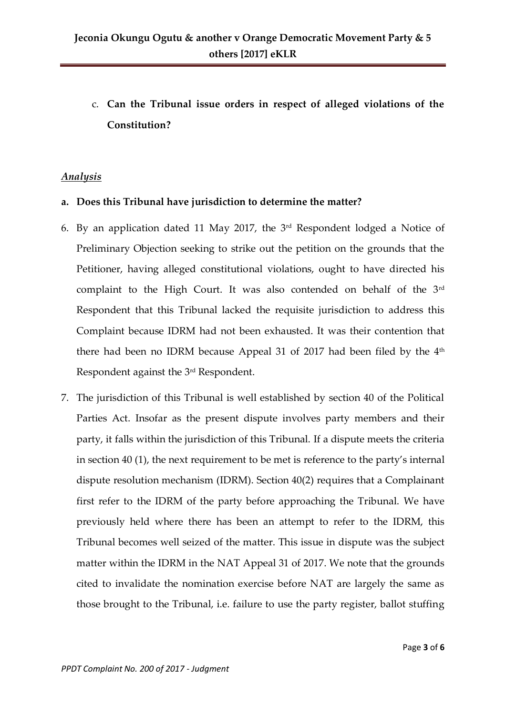c. **Can the Tribunal issue orders in respect of alleged violations of the Constitution?**

## *Analysis*

### **a. Does this Tribunal have jurisdiction to determine the matter?**

- 6. By an application dated 11 May 2017, the 3rd Respondent lodged a Notice of Preliminary Objection seeking to strike out the petition on the grounds that the Petitioner, having alleged constitutional violations, ought to have directed his complaint to the High Court. It was also contended on behalf of the 3rd Respondent that this Tribunal lacked the requisite jurisdiction to address this Complaint because IDRM had not been exhausted. It was their contention that there had been no IDRM because Appeal 31 of 2017 had been filed by the  $4<sup>th</sup>$ Respondent against the 3rd Respondent.
- 7. The jurisdiction of this Tribunal is well established by section 40 of the Political Parties Act. Insofar as the present dispute involves party members and their party, it falls within the jurisdiction of this Tribunal. If a dispute meets the criteria in section 40 (1), the next requirement to be met is reference to the party's internal dispute resolution mechanism (IDRM). Section 40(2) requires that a Complainant first refer to the IDRM of the party before approaching the Tribunal. We have previously held where there has been an attempt to refer to the IDRM, this Tribunal becomes well seized of the matter. This issue in dispute was the subject matter within the IDRM in the NAT Appeal 31 of 2017. We note that the grounds cited to invalidate the nomination exercise before NAT are largely the same as those brought to the Tribunal, i.e. failure to use the party register, ballot stuffing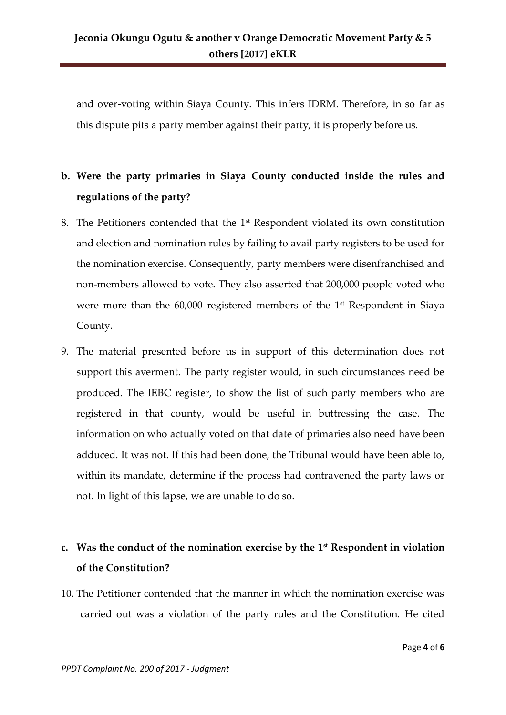and over-voting within Siaya County. This infers IDRM. Therefore, in so far as this dispute pits a party member against their party, it is properly before us.

# **b. Were the party primaries in Siaya County conducted inside the rules and regulations of the party?**

- 8. The Petitioners contended that the 1<sup>st</sup> Respondent violated its own constitution and election and nomination rules by failing to avail party registers to be used for the nomination exercise. Consequently, party members were disenfranchised and non-members allowed to vote. They also asserted that 200,000 people voted who were more than the 60,000 registered members of the 1<sup>st</sup> Respondent in Siaya County.
- 9. The material presented before us in support of this determination does not support this averment. The party register would, in such circumstances need be produced. The IEBC register, to show the list of such party members who are registered in that county, would be useful in buttressing the case. The information on who actually voted on that date of primaries also need have been adduced. It was not. If this had been done, the Tribunal would have been able to, within its mandate, determine if the process had contravened the party laws or not. In light of this lapse, we are unable to do so.

## **c. Was the conduct of the nomination exercise by the 1st Respondent in violation of the Constitution?**

10. The Petitioner contended that the manner in which the nomination exercise was carried out was a violation of the party rules and the Constitution. He cited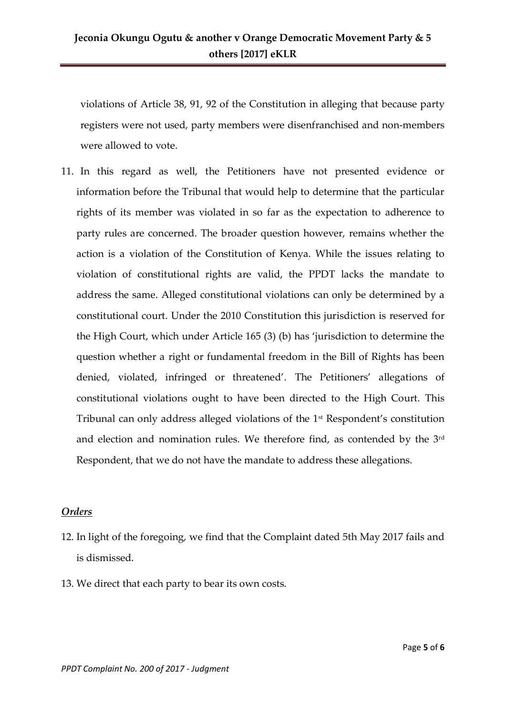violations of Article 38, 91, 92 of the Constitution in alleging that because party registers were not used, party members were disenfranchised and non-members were allowed to vote.

11. In this regard as well, the Petitioners have not presented evidence or information before the Tribunal that would help to determine that the particular rights of its member was violated in so far as the expectation to adherence to party rules are concerned. The broader question however, remains whether the action is a violation of the Constitution of Kenya. While the issues relating to violation of constitutional rights are valid, the PPDT lacks the mandate to address the same. Alleged constitutional violations can only be determined by a constitutional court. Under the 2010 Constitution this jurisdiction is reserved for the High Court, which under Article 165 (3) (b) has 'jurisdiction to determine the question whether a right or fundamental freedom in the Bill of Rights has been denied, violated, infringed or threatened'. The Petitioners' allegations of constitutional violations ought to have been directed to the High Court. This Tribunal can only address alleged violations of the 1st Respondent's constitution and election and nomination rules. We therefore find, as contended by the 3rd Respondent, that we do not have the mandate to address these allegations.

## *Orders*

- 12. In light of the foregoing, we find that the Complaint dated 5th May 2017 fails and is dismissed.
- 13. We direct that each party to bear its own costs.